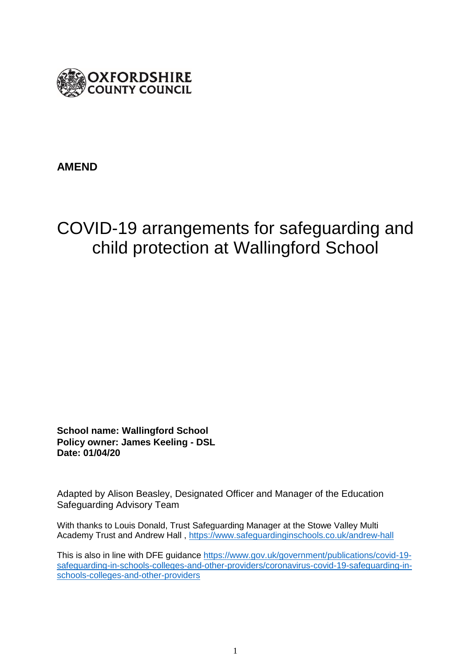

# **AMEND**

# COVID-19 arrangements for safeguarding and child protection at Wallingford School

**School name: Wallingford School Policy owner: James Keeling - DSL Date: 01/04/20**

Adapted by Alison Beasley, Designated Officer and Manager of the Education Safeguarding Advisory Team

With thanks to Louis Donald, Trust Safeguarding Manager at the Stowe Valley Multi Academy Trust and Andrew Hall ,<https://www.safeguardinginschools.co.uk/andrew-hall>

This is also in line with DFE guidance [https://www.gov.uk/government/publications/covid-19](https://www.gov.uk/government/publications/covid-19-safeguarding-in-schools-colleges-and-other-providers/coronavirus-covid-19-safeguarding-in-schools-colleges-and-other-providers) [safeguarding-in-schools-colleges-and-other-providers/coronavirus-covid-19-safeguarding-in](https://www.gov.uk/government/publications/covid-19-safeguarding-in-schools-colleges-and-other-providers/coronavirus-covid-19-safeguarding-in-schools-colleges-and-other-providers)[schools-colleges-and-other-providers](https://www.gov.uk/government/publications/covid-19-safeguarding-in-schools-colleges-and-other-providers/coronavirus-covid-19-safeguarding-in-schools-colleges-and-other-providers)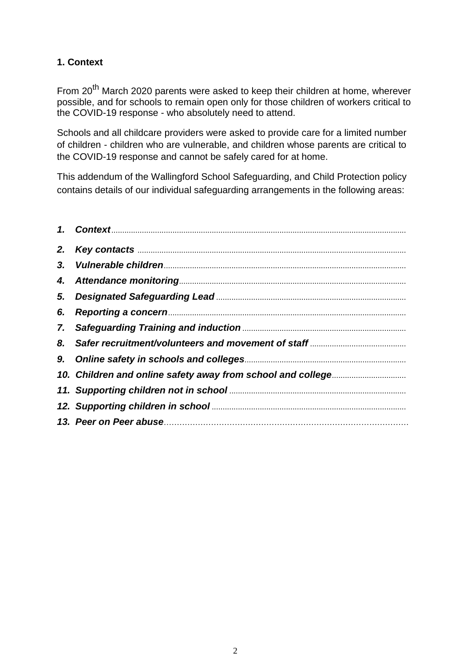# **1. Context**

From 20<sup>th</sup> March 2020 parents were asked to keep their children at home, wherever possible, and for schools to remain open only for those children of workers critical to the COVID-19 response - who absolutely need to attend.

Schools and all childcare providers were asked to provide care for a limited number of children - children who are vulnerable, and children whose parents are critical to the COVID-19 response and cannot be safely cared for at home.

This addendum of the Wallingford School Safeguarding, and Child Protection policy contains details of our individual safeguarding arrangements in the following areas:

| 6. |  |
|----|--|
|    |  |
|    |  |
|    |  |
|    |  |
|    |  |
|    |  |
|    |  |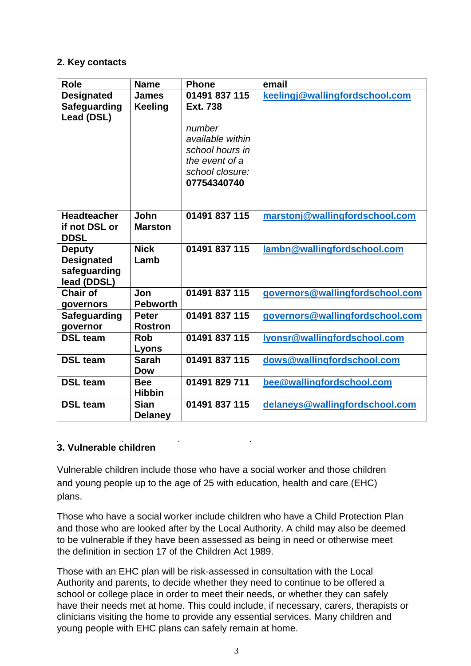#### **2. Key contacts**

| <b>Role</b>                                                       | <b>Name</b>                    | <b>Phone</b>                                                                                                                          | email                           |
|-------------------------------------------------------------------|--------------------------------|---------------------------------------------------------------------------------------------------------------------------------------|---------------------------------|
| <b>Designated</b><br><b>Safeguarding</b><br>Lead (DSL)            | <b>James</b><br><b>Keeling</b> | 01491 837 115<br><b>Ext. 738</b><br>number<br>available within<br>school hours in<br>the event of a<br>school closure:<br>07754340740 | keelingj@wallingfordschool.com  |
| <b>Headteacher</b><br>if not DSL or<br><b>DDSL</b>                | John<br><b>Marston</b>         | 01491 837 115                                                                                                                         | marstonj@wallingfordschool.com  |
| <b>Deputy</b><br><b>Designated</b><br>safeguarding<br>lead (DDSL) | <b>Nick</b><br>Lamb            | 01491 837 115                                                                                                                         | lambn@wallingfordschool.com     |
| <b>Chair of</b><br>governors                                      | Jon<br><b>Pebworth</b>         | 01491 837 115                                                                                                                         | governors@wallingfordschool.com |
| Safeguarding<br>governor                                          | <b>Peter</b><br><b>Rostron</b> | 01491 837 115                                                                                                                         | governors@wallingfordschool.com |
| <b>DSL team</b>                                                   | <b>Rob</b><br>Lyons            | 01491 837 115                                                                                                                         | Iyonsr@wallingfordschool.com    |
| <b>DSL team</b>                                                   | <b>Sarah</b><br><b>Dow</b>     | 01491 837 115                                                                                                                         | dows@wallingfordschool.com      |
| <b>DSL team</b>                                                   | <b>Bee</b><br><b>Hibbin</b>    | 01491 829 711                                                                                                                         | bee@wallingfordschool.com       |
| <b>DSL team</b>                                                   | <b>Sian</b><br><b>Delaney</b>  | 01491 837 115                                                                                                                         | delaneys@wallingfordschool.com  |

# **3. Vulnerable children**

Vulnerable children include those who have a social worker and those children and young people up to the age of 25 with education, health and care (EHC) plans.

Those who have a social worker include children who have a Child Protection Plan and those who are looked after by the Local Authority. A child may also be deemed to be vulnerable if they have been assessed as being in need or otherwise meet the definition in section 17 of the Children Act 1989.

Those with an EHC plan will be risk-assessed in consultation with the Local Authority and parents, to decide whether they need to continue to be offered a school or college place in order to meet their needs, or whether they can safely have their needs met at home. This could include, if necessary, carers, therapists or clinicians visiting the home to provide any essential services. Many children and young people with EHC plans can safely remain at home.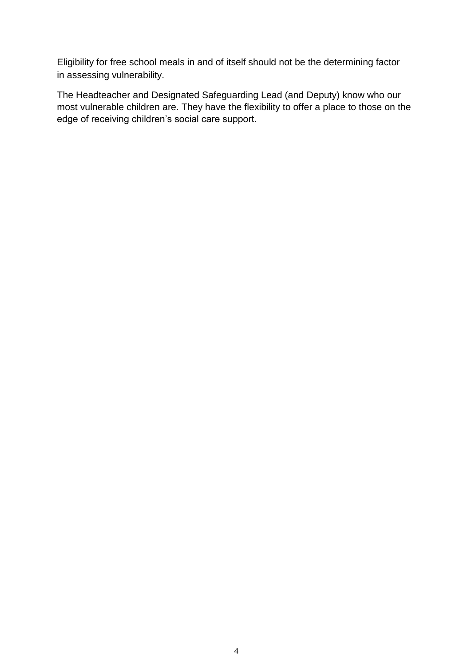Eligibility for free school meals in and of itself should not be the determining factor in assessing vulnerability.

The Headteacher and Designated Safeguarding Lead (and Deputy) know who our most vulnerable children are. They have the flexibility to offer a place to those on the edge of receiving children's social care support.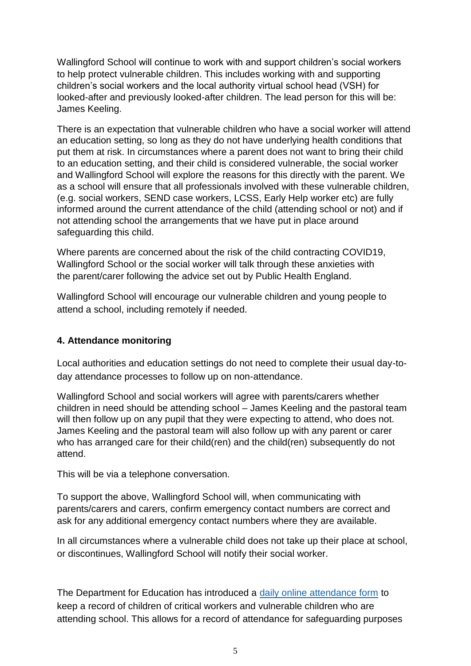Wallingford School will continue to work with and support children's social workers to help protect vulnerable children. This includes working with and supporting children's social workers and the local authority virtual school head (VSH) for looked-after and previously looked-after children. The lead person for this will be: James Keeling.

There is an expectation that vulnerable children who have a social worker will attend an education setting, so long as they do not have underlying health conditions that put them at risk. In circumstances where a parent does not want to bring their child to an education setting, and their child is considered vulnerable, the social worker and Wallingford School will explore the reasons for this directly with the parent. We as a school will ensure that all professionals involved with these vulnerable children, (e.g. social workers, SEND case workers, LCSS, Early Help worker etc) are fully informed around the current attendance of the child (attending school or not) and if not attending school the arrangements that we have put in place around safeguarding this child.

Where parents are concerned about the risk of the child contracting COVID19, Wallingford School or the social worker will talk through these anxieties with the parent/carer following the advice set out by Public Health England.

Wallingford School will encourage our vulnerable children and young people to attend a school, including remotely if needed.

# **4. Attendance monitoring**

Local authorities and education settings do not need to complete their usual day-today attendance processes to follow up on non-attendance.

Wallingford School and social workers will agree with parents/carers whether children in need should be attending school – James Keeling and the pastoral team will then follow up on any pupil that they were expecting to attend, who does not. James Keeling and the pastoral team will also follow up with any parent or carer who has arranged care for their child(ren) and the child(ren) subsequently do not attend.

This will be via a telephone conversation.

To support the above, Wallingford School will, when communicating with parents/carers and carers, confirm emergency contact numbers are correct and ask for any additional emergency contact numbers where they are available.

In all circumstances where a vulnerable child does not take up their place at school, or discontinues, Wallingford School will notify their social worker.

The Department for Education has introduced a [daily online attendance form](https://www.gov.uk/government/publications/coronavirus-covid-19-attendance-recording-for-educational-settings) to keep a record of children of critical workers and vulnerable children who are attending school. This allows for a record of attendance for safeguarding purposes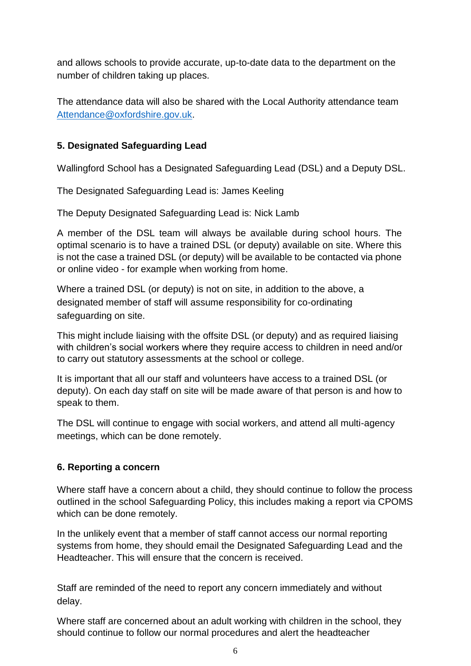and allows schools to provide accurate, up-to-date data to the department on the number of children taking up places.

The attendance data will also be shared with the Local Authority attendance team [Attendance@oxfordshire.gov.uk.](mailto:Attendance@oxfordshire.gov.uk)

# **5. Designated Safeguarding Lead**

Wallingford School has a Designated Safeguarding Lead (DSL) and a Deputy DSL.

The Designated Safeguarding Lead is: James Keeling

The Deputy Designated Safeguarding Lead is: Nick Lamb

A member of the DSL team will always be available during school hours. The optimal scenario is to have a trained DSL (or deputy) available on site. Where this is not the case a trained DSL (or deputy) will be available to be contacted via phone or online video - for example when working from home.

Where a trained DSL (or deputy) is not on site, in addition to the above, a designated member of staff will assume responsibility for co-ordinating safeguarding on site.

This might include liaising with the offsite DSL (or deputy) and as required liaising with children's social workers where they require access to children in need and/or to carry out statutory assessments at the school or college.

It is important that all our staff and volunteers have access to a trained DSL (or deputy). On each day staff on site will be made aware of that person is and how to speak to them.

The DSL will continue to engage with social workers, and attend all multi-agency meetings, which can be done remotely.

# **6. Reporting a concern**

Where staff have a concern about a child, they should continue to follow the process outlined in the school Safeguarding Policy, this includes making a report via CPOMS which can be done remotely.

In the unlikely event that a member of staff cannot access our normal reporting systems from home, they should email the Designated Safeguarding Lead and the Headteacher. This will ensure that the concern is received.

Staff are reminded of the need to report any concern immediately and without delay.

Where staff are concerned about an adult working with children in the school, they should continue to follow our normal procedures and alert the headteacher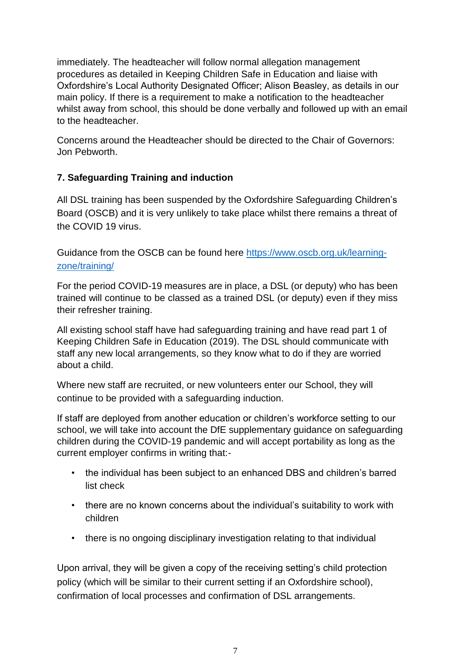immediately. The headteacher will follow normal allegation management procedures as detailed in Keeping Children Safe in Education and liaise with Oxfordshire's Local Authority Designated Officer; Alison Beasley, as details in our main policy. If there is a requirement to make a notification to the headteacher whilst away from school, this should be done verbally and followed up with an email to the headteacher.

Concerns around the Headteacher should be directed to the Chair of Governors: Jon Pebworth.

# **7. Safeguarding Training and induction**

All DSL training has been suspended by the Oxfordshire Safeguarding Children's Board (OSCB) and it is very unlikely to take place whilst there remains a threat of the COVID 19 virus.

Guidance from the OSCB can be found here [https://www.oscb.org.uk/learning](https://www.oscb.org.uk/learning-zone/training/)[zone/training/](https://www.oscb.org.uk/learning-zone/training/)

For the period COVID-19 measures are in place, a DSL (or deputy) who has been trained will continue to be classed as a trained DSL (or deputy) even if they miss their refresher training.

All existing school staff have had safeguarding training and have read part 1 of Keeping Children Safe in Education (2019). The DSL should communicate with staff any new local arrangements, so they know what to do if they are worried about a child.

Where new staff are recruited, or new volunteers enter our School, they will continue to be provided with a safeguarding induction.

If staff are deployed from another education or children's workforce setting to our school, we will take into account the DfE supplementary guidance on safeguarding children during the COVID-19 pandemic and will accept portability as long as the current employer confirms in writing that:-

- the individual has been subject to an enhanced DBS and children's barred list check
- there are no known concerns about the individual's suitability to work with children
- there is no ongoing disciplinary investigation relating to that individual

Upon arrival, they will be given a copy of the receiving setting's child protection policy (which will be similar to their current setting if an Oxfordshire school), confirmation of local processes and confirmation of DSL arrangements.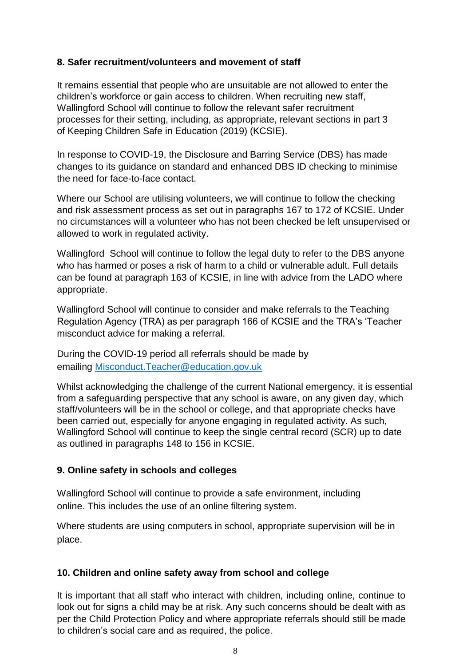#### **8. Safer recruitment/volunteers and movement of staff**

It remains essential that people who are unsuitable are not allowed to enter the children's workforce or gain access to children. When recruiting new staff, Wallingford School will continue to follow the relevant safer recruitment processes for their setting, including, as appropriate, relevant sections in part 3 of Keeping Children Safe in Education (2019) (KCSIE).

In response to COVID-19, the Disclosure and Barring Service (DBS) has made changes to its guidance on standard and enhanced DBS ID checking to minimise the need for face-to-face contact.

Where our School are utilising volunteers, we will continue to follow the checking and risk assessment process as set out in paragraphs 167 to 172 of KCSIE. Under no circumstances will a volunteer who has not been checked be left unsupervised or allowed to work in regulated activity.

Wallingford School will continue to follow the legal duty to refer to the DBS anyone who has harmed or poses a risk of harm to a child or vulnerable adult. Full details can be found at paragraph 163 of KCSIE, in line with advice from the LADO where appropriate.

Wallingford School will continue to consider and make referrals to the Teaching Regulation Agency (TRA) as per paragraph 166 of KCSIE and the TRA's 'Teacher misconduct advice for making a referral.

During the COVID-19 period all referrals should be made by emailing Misconduct.Teacher@education.gov.uk

Whilst acknowledging the challenge of the current National emergency, it is essential from a safeguarding perspective that any school is aware, on any given day, which staff/volunteers will be in the school or college, and that appropriate checks have been carried out, especially for anyone engaging in regulated activity. As such, Wallingford School will continue to keep the single central record (SCR) up to date as outlined in paragraphs 148 to 156 in KCSIE.

# **9. Online safety in schools and colleges**

Wallingford School will continue to provide a safe environment, including online. This includes the use of an online filtering system.

Where students are using computers in school, appropriate supervision will be in place.

#### **10. Children and online safety away from school and college**

It is important that all staff who interact with children, including online, continue to look out for signs a child may be at risk. Any such concerns should be dealt with as per the Child Protection Policy and where appropriate referrals should still be made to children's social care and as required, the police.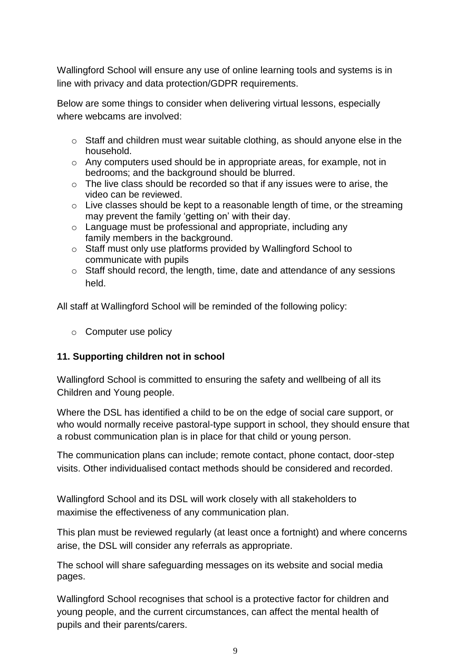Wallingford School will ensure any use of online learning tools and systems is in line with privacy and data protection/GDPR requirements.

Below are some things to consider when delivering virtual lessons, especially where webcams are involved:

- o Staff and children must wear suitable clothing, as should anyone else in the household.
- $\circ$  Any computers used should be in appropriate areas, for example, not in bedrooms; and the background should be blurred.
- o The live class should be recorded so that if any issues were to arise, the video can be reviewed.
- o Live classes should be kept to a reasonable length of time, or the streaming may prevent the family 'getting on' with their day.
- o Language must be professional and appropriate, including any family members in the background.
- o Staff must only use platforms provided by Wallingford School to communicate with pupils
- o Staff should record, the length, time, date and attendance of any sessions held.

All staff at Wallingford School will be reminded of the following policy:

o Computer use policy

# **11. Supporting children not in school**

Wallingford School is committed to ensuring the safety and wellbeing of all its Children and Young people.

Where the DSL has identified a child to be on the edge of social care support, or who would normally receive pastoral-type support in school, they should ensure that a robust communication plan is in place for that child or young person.

The communication plans can include; remote contact, phone contact, door-step visits. Other individualised contact methods should be considered and recorded.

Wallingford School and its DSL will work closely with all stakeholders to maximise the effectiveness of any communication plan.

This plan must be reviewed regularly (at least once a fortnight) and where concerns arise, the DSL will consider any referrals as appropriate.

The school will share safeguarding messages on its website and social media pages.

Wallingford School recognises that school is a protective factor for children and young people, and the current circumstances, can affect the mental health of pupils and their parents/carers.